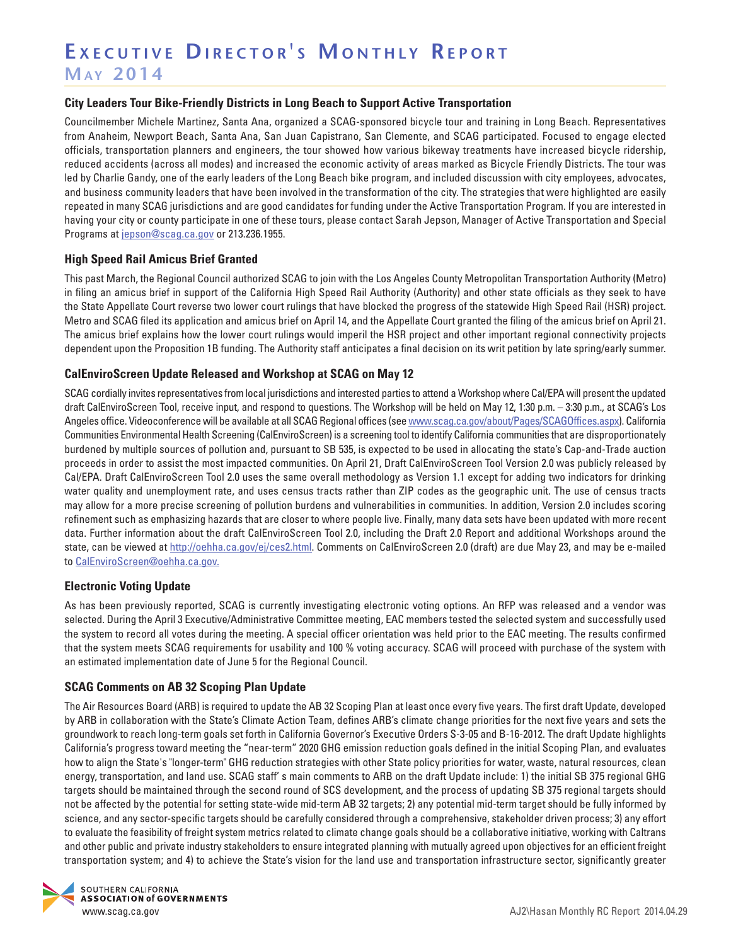# EXECUTIVE DIRECTOR'S MONTHLY REPORT **Ma y 2 0 1 4**

#### **City Leaders Tour Bike-Friendly Districts in Long Beach to Support Active Transportation**

Councilmember Michele Martinez, Santa Ana, organized a SCAG-sponsored bicycle tour and training in Long Beach. Representatives from Anaheim, Newport Beach, Santa Ana, San Juan Capistrano, San Clemente, and SCAG participated. Focused to engage elected officials, transportation planners and engineers, the tour showed how various bikeway treatments have increased bicycle ridership, reduced accidents (across all modes) and increased the economic activity of areas marked as Bicycle Friendly Districts. The tour was led by Charlie Gandy, one of the early leaders of the Long Beach bike program, and included discussion with city employees, advocates, and business community leaders that have been involved in the transformation of the city. The strategies that were highlighted are easily repeated in many SCAG jurisdictions and are good candidates for funding under the Active Transportation Program. If you are interested in having your city or county participate in one of these tours, please contact Sarah Jepson, Manager of Active Transportation and Special Programs at j[epson@scag.ca.gov](mailto:Jepson@scag.ca.gov) or 213.236.1955.

#### **High Speed Rail Amicus Brief Granted**

This past March, the Regional Council authorized SCAG to join with the Los Angeles County Metropolitan Transportation Authority (Metro) in filing an amicus brief in support of the California High Speed Rail Authority (Authority) and other state officials as they seek to have the State Appellate Court reverse two lower court rulings that have blocked the progress of the statewide High Speed Rail (HSR) project. Metro and SCAG filed its application and amicus brief on April 14, and the Appellate Court granted the filing of the amicus brief on April 21. The amicus brief explains how the lower court rulings would imperil the HSR project and other important regional connectivity projects dependent upon the Proposition 1B funding. The Authority staff anticipates a final decision on its writ petition by late spring/early summer.

#### **CalEnviroScreen Update Released and Workshop at SCAG on May 12**

SCAG cordially invites representatives from local jurisdictions and interested parties to attend a Workshop where Cal/EPA will present the updated draft CalEnviroScreen Tool, receive input, and respond to questions. The Workshop will be held on May 12, 1:30 p.m. – 3:30 p.m., at SCAG's Los Angeles office. Videoconference will be available at all SCAG Regional offices (see [www.scag.ca.gov/about/Pages/SCAGOffices.aspx\)](http://www.scag.ca.gov/about/Pages/SCAGOffices.aspx). California Communities Environmental Health Screening (CalEnviroScreen) is a screening tool to identify California communities that are disproportionately burdened by multiple sources of pollution and, pursuant to SB 535, is expected to be used in allocating the state's Cap-and-Trade auction proceeds in order to assist the most impacted communities. On April 21, Draft CalEnviroScreen Tool Version 2.0 was publicly released by Cal/EPA. Draft CalEnviroScreen Tool 2.0 uses the same overall methodology as Version 1.1 except for adding two indicators for drinking water quality and unemployment rate, and uses census tracts rather than ZIP codes as the geographic unit. The use of census tracts may allow for a more precise screening of pollution burdens and vulnerabilities in communities. In addition, Version 2.0 includes scoring refinement such as emphasizing hazards that are closer to where people live. Finally, many data sets have been updated with more recent data. Further information about the draft CalEnviroScreen Tool 2.0, including the Draft 2.0 Report and additional Workshops around the state, can be viewed at<http://oehha.ca.gov/ej/ces2.html>. Comments on CalEnviroScreen 2.0 (draft) are due May 23, and may be e-mailed to [CalEnviroScreen@oehha.ca.gov.](mailto:CalEnviroScreen@oehha.ca.gov)

#### **Electronic Voting Update**

As has been previously reported, SCAG is currently investigating electronic voting options. An RFP was released and a vendor was selected. During the April 3 Executive/Administrative Committee meeting, EAC members tested the selected system and successfully used the system to record all votes during the meeting. A special officer orientation was held prior to the EAC meeting. The results confirmed that the system meets SCAG requirements for usability and 100 % voting accuracy. SCAG will proceed with purchase of the system with an estimated implementation date of June 5 for the Regional Council.

#### **SCAG Comments on AB 32 Scoping Plan Update**

The Air Resources Board (ARB) is required to update the AB 32 Scoping Plan at least once every five years. The first draft Update, developed by ARB in collaboration with the State's Climate Action Team, defines ARB's climate change priorities for the next five years and sets the groundwork to reach long-term goals set forth in California Governor's Executive Orders S-3-05 and B-16-2012. The draft Update highlights California's progress toward meeting the "near-term" 2020 GHG emission reduction goals defined in the initial Scoping Plan, and evaluates how to align the State's "longer-term" GHG reduction strategies with other State policy priorities for water, waste, natural resources, clean energy, transportation, and land use. SCAG staff' s main comments to ARB on the draft Update include: 1) the initial SB 375 regional GHG targets should be maintained through the second round of SCS development, and the process of updating SB 375 regional targets should not be affected by the potential for setting state-wide mid-term AB 32 targets; 2) any potential mid-term target should be fully informed by science, and any sector-specific targets should be carefully considered through a comprehensive, stakeholder driven process; 3) any effort to evaluate the feasibility of freight system metrics related to climate change goals should be a collaborative initiative, working with Caltrans and other public and private industry stakeholders to ensure integrated planning with mutually agreed upon objectives for an efficient freight transportation system; and 4) to achieve the State's vision for the land use and transportation infrastructure sector, significantly greater

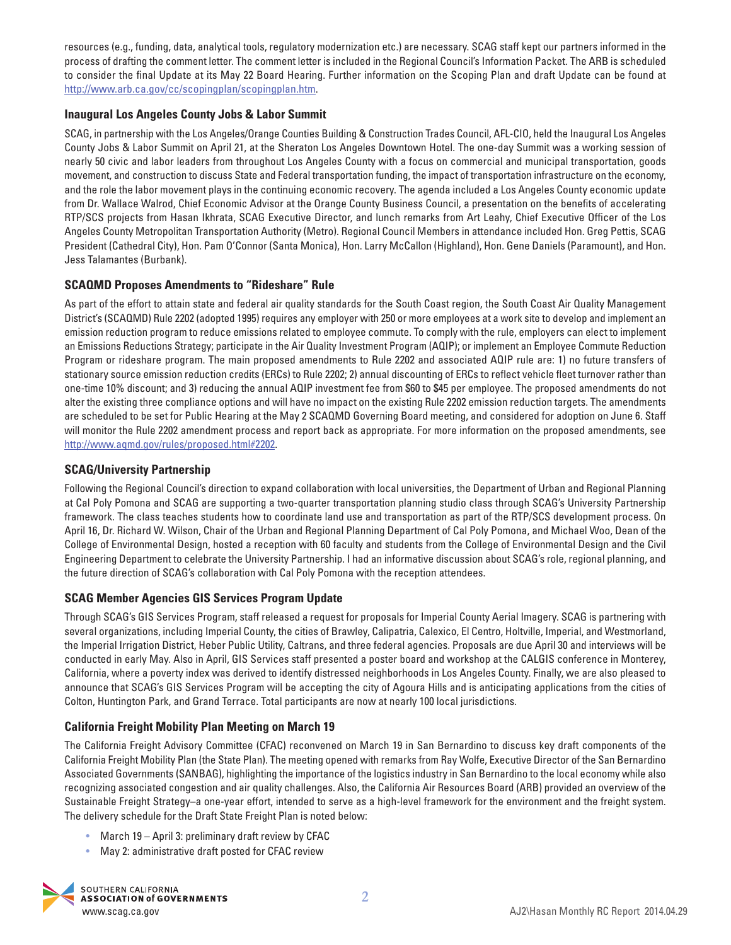resources (e.g., funding, data, analytical tools, regulatory modernization etc.) are necessary. SCAG staff kept our partners informed in the process of drafting the comment letter. The comment letter is included in the Regional Council's Information Packet. The ARB is scheduled to consider the final Update at its May 22 Board Hearing. Further information on the Scoping Plan and draft Update can be found at http://www.arb.ca.gov/cc/scopingplan/scopingplan.htm.

# **Inaugural Los Angeles County Jobs & Labor Summit**

SCAG, in partnership with the Los Angeles/Orange Counties Building & Construction Trades Council, AFL-CIO, held the Inaugural Los Angeles County Jobs & Labor Summit on April 21, at the Sheraton Los Angeles Downtown Hotel. The one-day Summit was a working session of nearly 50 civic and labor leaders from throughout Los Angeles County with a focus on commercial and municipal transportation, goods movement, and construction to discuss State and Federal transportation funding, the impact of transportation infrastructure on the economy, and the role the labor movement plays in the continuing economic recovery. The agenda included a Los Angeles County economic update from Dr. Wallace Walrod, Chief Economic Advisor at the Orange County Business Council, a presentation on the benefits of accelerating RTP/SCS projects from Hasan Ikhrata, SCAG Executive Director, and lunch remarks from Art Leahy, Chief Executive Officer of the Los Angeles County Metropolitan Transportation Authority (Metro). Regional Council Members in attendance included Hon. Greg Pettis, SCAG President (Cathedral City), Hon. Pam O'Connor (Santa Monica), Hon. Larry McCallon (Highland), Hon. Gene Daniels (Paramount), and Hon. Jess Talamantes (Burbank).

# **SCAQMD Proposes Amendments to "Rideshare" Rule**

As part of the effort to attain state and federal air quality standards for the South Coast region, the South Coast Air Quality Management District's (SCAQMD) Rule 2202 (adopted 1995) requires any employer with 250 or more employees at a work site to develop and implement an emission reduction program to reduce emissions related to employee commute. To comply with the rule, employers can elect to implement an Emissions Reductions Strategy; participate in the Air Quality Investment Program (AQIP); or implement an Employee Commute Reduction Program or rideshare program. The main proposed amendments to Rule 2202 and associated AQIP rule are: 1) no future transfers of stationary source emission reduction credits (ERCs) to Rule 2202; 2) annual discounting of ERCs to reflect vehicle fleet turnover rather than one-time 10% discount; and 3) reducing the annual AQIP investment fee from \$60 to \$45 per employee. The proposed amendments do not alter the existing three compliance options and will have no impact on the existing Rule 2202 emission reduction targets. The amendments are scheduled to be set for Public Hearing at the May 2 SCAQMD Governing Board meeting, and considered for adoption on June 6. Staff will monitor the Rule 2202 amendment process and report back as appropriate. For more information on the proposed amendments, see http://www.aqmd.gov/rules/proposed.html#2202.

#### **SCAG/University Partnership**

Following the Regional Council's direction to expand collaboration with local universities, the Department of Urban and Regional Planning at Cal Poly Pomona and SCAG are supporting a two-quarter transportation planning studio class through SCAG's University Partnership framework. The class teaches students how to coordinate land use and transportation as part of the RTP/SCS development process. On April 16, Dr. Richard W. Wilson, Chair of the Urban and Regional Planning Department of Cal Poly Pomona, and Michael Woo, Dean of the College of Environmental Design, hosted a reception with 60 faculty and students from the College of Environmental Design and the Civil Engineering Department to celebrate the University Partnership. I had an informative discussion about SCAG's role, regional planning, and the future direction of SCAG's collaboration with Cal Poly Pomona with the reception attendees.

# **SCAG Member Agencies GIS Services Program Update**

Through SCAG's GIS Services Program, staff released a request for proposals for Imperial County Aerial Imagery. SCAG is partnering with several organizations, including Imperial County, the cities of Brawley, Calipatria, Calexico, El Centro, Holtville, Imperial, and Westmorland, the Imperial Irrigation District, Heber Public Utility, Caltrans, and three federal agencies. Proposals are due April 30 and interviews will be conducted in early May. Also in April, GIS Services staff presented a poster board and workshop at the CALGIS conference in Monterey, California, where a poverty index was derived to identify distressed neighborhoods in Los Angeles County. Finally, we are also pleased to announce that SCAG's GIS Services Program will be accepting the city of Agoura Hills and is anticipating applications from the cities of Colton, Huntington Park, and Grand Terrace. Total participants are now at nearly 100 local jurisdictions.

# **California Freight Mobility Plan Meeting on March 19**

The California Freight Advisory Committee (CFAC) reconvened on March 19 in San Bernardino to discuss key draft components of the California Freight Mobility Plan (the State Plan). The meeting opened with remarks from Ray Wolfe, Executive Director of the San Bernardino Associated Governments (SANBAG), highlighting the importance of the logistics industry in San Bernardino to the local economy while also recognizing associated congestion and air quality challenges. Also, the California Air Resources Board (ARB) provided an overview of the Sustainable Freight Strategy–a one-year effort, intended to serve as a high-level framework for the environment and the freight system. The delivery schedule for the Draft State Freight Plan is noted below:

- March 19 April 3: preliminary draft review by CFAC
- May 2: administrative draft posted for CFAC review